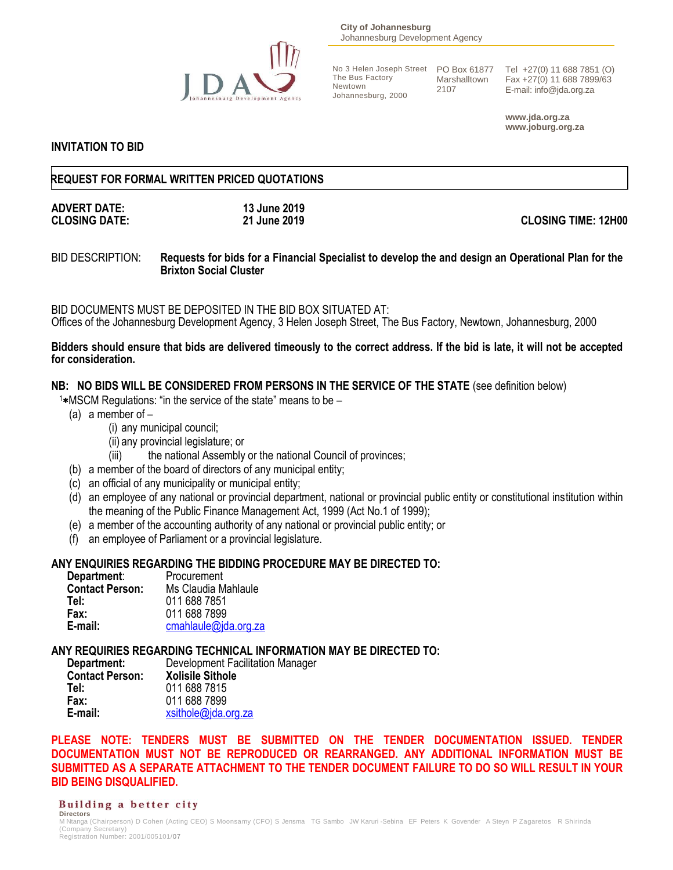

**City of Johannesburg** Johannesburg Development Agency

The Bus Factory Newtown Johannesburg, 2000

Marshalltown 2107

No 3 Helen Joseph Street PO Box 61877 Tel +27(0) 11 688 7851 (O) Fax +27(0) 11 688 7899/63 E-mail: info@jda.org.za

> **www.jda.org.za www.joburg.org.za**

#### **INVITATION TO BID**

#### **REQUEST FOR FORMAL WRITTEN PRICED QUOTATIONS**

# **ADVERT DATE: 13 June 2019**

**CLOSING DATE: 21 June 2019 CLOSING TIME: 12H00**

#### BID DESCRIPTION: **Requests for bids for a Financial Specialist to develop the and design an Operational Plan for the Brixton Social Cluster**

BID DOCUMENTS MUST BE DEPOSITED IN THE BID BOX SITUATED AT: Offices of the Johannesburg Development Agency, 3 Helen Joseph Street, The Bus Factory, Newtown, Johannesburg, 2000

#### **Bidders should ensure that bids are delivered timeously to the correct address. If the bid is late, it will not be accepted for consideration.**

#### **NB: NO BIDS WILL BE CONSIDERED FROM PERSONS IN THE SERVICE OF THE STATE** (see definition below)

 $1*$ MSCM Regulations: "in the service of the state" means to be  $-$ 

- (a) a member of
	- (i) any municipal council;
	- (ii) any provincial legislature; or
	- (iii) the national Assembly or the national Council of provinces;
- (b) a member of the board of directors of any municipal entity;
- (c) an official of any municipality or municipal entity;
- (d) an employee of any national or provincial department, national or provincial public entity or constitutional institution within the meaning of the Public Finance Management Act, 1999 (Act No.1 of 1999);
- (e) a member of the accounting authority of any national or provincial public entity; or
- (f) an employee of Parliament or a provincial legislature.

#### **ANY ENQUIRIES REGARDING THE BIDDING PROCEDURE MAY BE DIRECTED TO:**

**Department:** Procurement **Contact Person:** Ms Claudia Mahlaule **Tel:** 011 688 7851 **Fax:** 011 688 7899 **E-mail:** [cmahlaule@jda.org.za](mailto:cmahlaule@jda.org.za)

**ANY REQUIRIES REGARDING TECHNICAL INFORMATION MAY BE DIRECTED TO:**

| Department:            | Development Facilitation Manager |
|------------------------|----------------------------------|
| <b>Contact Person:</b> | <b>Xolisile Sithole</b>          |
| Tel:                   | 011 688 7815                     |
| Fax:                   | 011 688 7899                     |
| E-mail:                | xsithole@jda.org.za              |

**PLEASE NOTE: TENDERS MUST BE SUBMITTED ON THE TENDER DOCUMENTATION ISSUED. TENDER DOCUMENTATION MUST NOT BE REPRODUCED OR REARRANGED. ANY ADDITIONAL INFORMATION MUST BE SUBMITTED AS A SEPARATE ATTACHMENT TO THE TENDER DOCUMENT FAILURE TO DO SO WILL RESULT IN YOUR BID BEING DISQUALIFIED.**

#### Building a better city **Directors**

M Ntanga (Chairperson) D Cohen (Acting CEO) S Moonsamy (CFO) S Jensma TG Sambo JW Karuri -Sebina EF Peters K Govender A Steyn P Zagaretos R Shirinda (Company Secretary) Registration Number: 2001/005101/07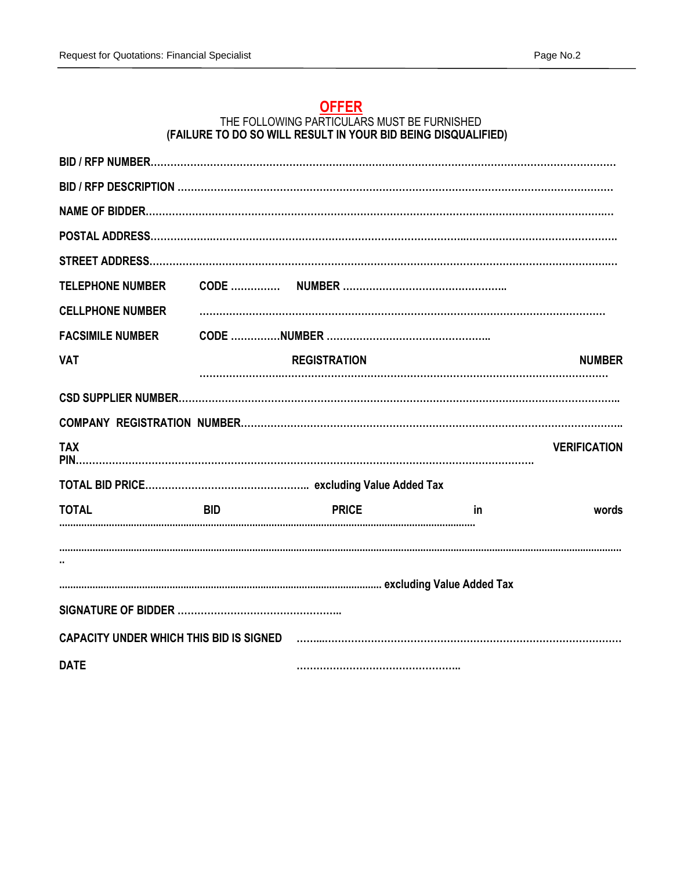## **OFFER**

#### THE FOLLOWING PARTICULARS MUST BE FURNISHED **(FAILURE TO DO SO WILL RESULT IN YOUR BID BEING DISQUALIFIED)**

| <b>TELEPHONE NUMBER</b> |            |                     |    |                     |
|-------------------------|------------|---------------------|----|---------------------|
| <b>CELLPHONE NUMBER</b> |            |                     |    |                     |
| <b>FACSIMILE NUMBER</b> |            |                     |    |                     |
| <b>VAT</b>              |            | <b>REGISTRATION</b> |    | <b>NUMBER</b>       |
|                         |            |                     |    |                     |
|                         |            |                     |    |                     |
| <b>TAX</b>              |            |                     |    | <b>VERIFICATION</b> |
|                         |            |                     |    |                     |
| <b>TOTAL</b>            | <b>BID</b> | <b>PRICE</b>        | in | words               |
|                         |            |                     |    |                     |
|                         |            |                     |    |                     |
|                         |            |                     |    |                     |
| <b>DATE</b>             |            |                     |    |                     |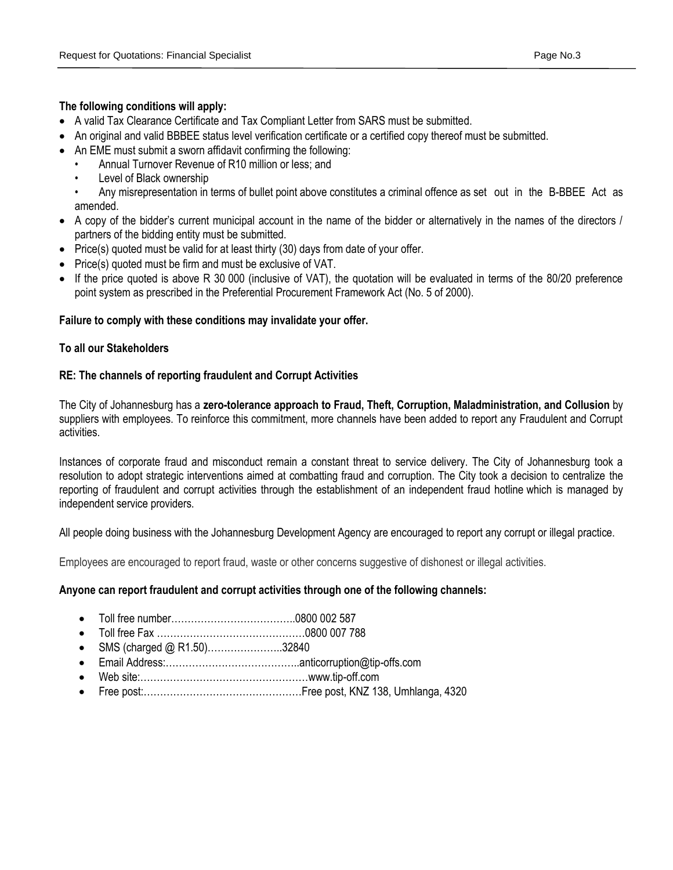#### **The following conditions will apply:**

- A valid Tax Clearance Certificate and Tax Compliant Letter from SARS must be submitted.
- An original and valid BBBEE status level verification certificate or a certified copy thereof must be submitted.
- An EME must submit a sworn affidavit confirming the following:
	- Annual Turnover Revenue of R10 million or less; and
	- Level of Black ownership
	- Any misrepresentation in terms of bullet point above constitutes a criminal offence as set out in the B-BBEE Act as amended.
- A copy of the bidder's current municipal account in the name of the bidder or alternatively in the names of the directors / partners of the bidding entity must be submitted.
- Price(s) quoted must be valid for at least thirty (30) days from date of your offer.
- Price(s) quoted must be firm and must be exclusive of VAT.
- If the price quoted is above R 30 000 (inclusive of VAT), the quotation will be evaluated in terms of the 80/20 preference point system as prescribed in the Preferential Procurement Framework Act (No. 5 of 2000).

#### **Failure to comply with these conditions may invalidate your offer.**

#### **To all our Stakeholders**

#### **RE: The channels of reporting fraudulent and Corrupt Activities**

The City of Johannesburg has a **zero-tolerance approach to Fraud, Theft, Corruption, Maladministration, and Collusion** by suppliers with employees. To reinforce this commitment, more channels have been added to report any Fraudulent and Corrupt activities.

Instances of corporate fraud and misconduct remain a constant threat to service delivery. The City of Johannesburg took a resolution to adopt strategic interventions aimed at combatting fraud and corruption. The City took a decision to centralize the reporting of fraudulent and corrupt activities through the establishment of an independent fraud hotline which is managed by independent service providers.

All people doing business with the Johannesburg Development Agency are encouraged to report any corrupt or illegal practice.

Employees are encouraged to report fraud, waste or other concerns suggestive of dishonest or illegal activities.

#### **Anyone can report fraudulent and corrupt activities through one of the following channels:**

- Toll free number………………………………..0800 002 587
- Toll free Fax ………………………………………0800 007 788
- SMS (charged @ R1.50)…………………..32840
- Email Address:…………………………………..anticorruption@tip-offs.com
- Web site:……………………………………………www.tip-off.com
- Free post:…………………………………………Free post, KNZ 138, Umhlanga, 4320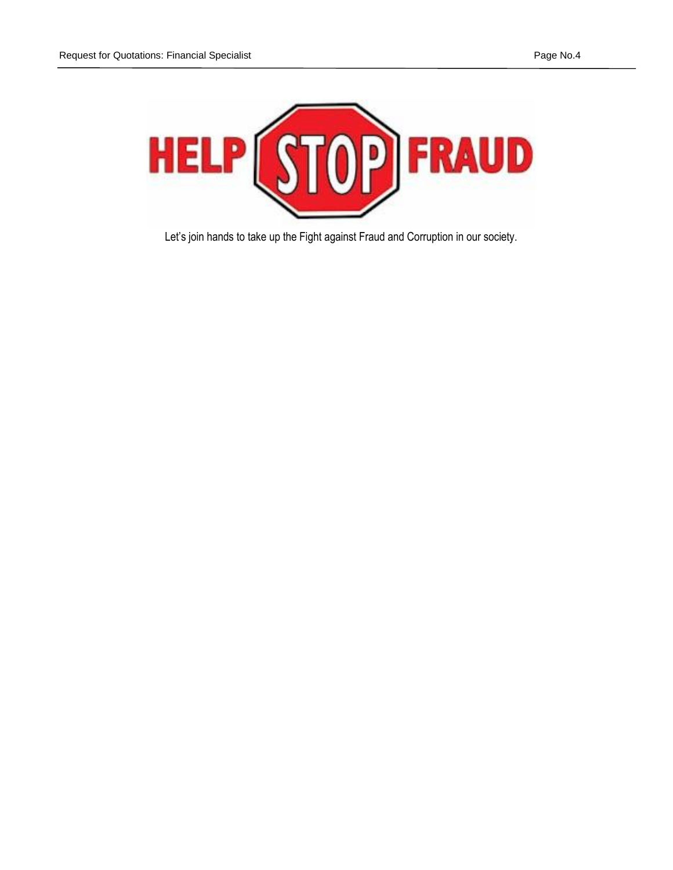

Let's join hands to take up the Fight against Fraud and Corruption in our society.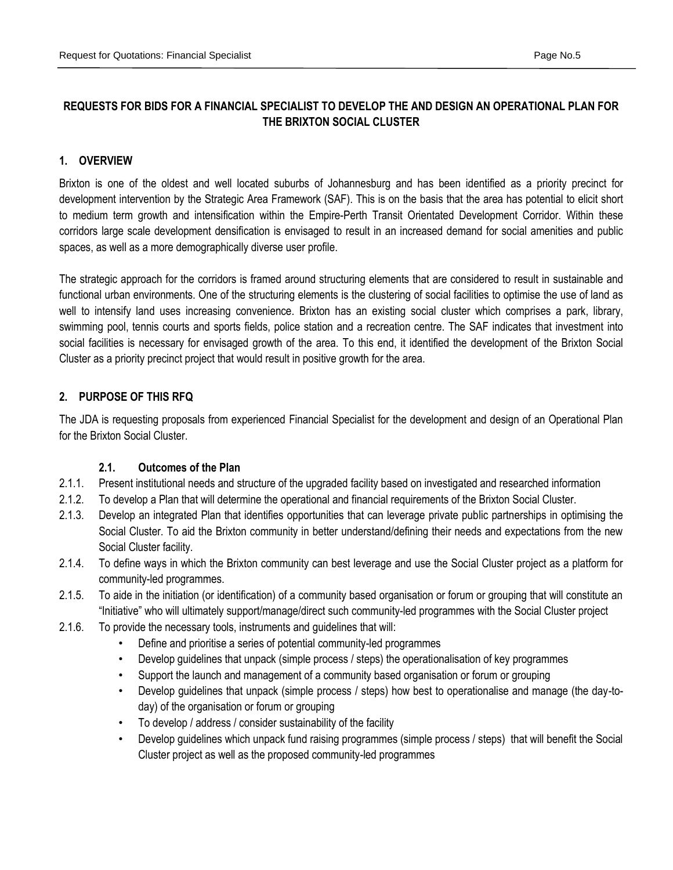## **REQUESTS FOR BIDS FOR A FINANCIAL SPECIALIST TO DEVELOP THE AND DESIGN AN OPERATIONAL PLAN FOR THE BRIXTON SOCIAL CLUSTER**

## **1. OVERVIEW**

Brixton is one of the oldest and well located suburbs of Johannesburg and has been identified as a priority precinct for development intervention by the Strategic Area Framework (SAF). This is on the basis that the area has potential to elicit short to medium term growth and intensification within the Empire-Perth Transit Orientated Development Corridor. Within these corridors large scale development densification is envisaged to result in an increased demand for social amenities and public spaces, as well as a more demographically diverse user profile.

The strategic approach for the corridors is framed around structuring elements that are considered to result in sustainable and functional urban environments. One of the structuring elements is the clustering of social facilities to optimise the use of land as well to intensify land uses increasing convenience. Brixton has an existing social cluster which comprises a park, library, swimming pool, tennis courts and sports fields, police station and a recreation centre. The SAF indicates that investment into social facilities is necessary for envisaged growth of the area. To this end, it identified the development of the Brixton Social Cluster as a priority precinct project that would result in positive growth for the area.

## **2. PURPOSE OF THIS RFQ**

The JDA is requesting proposals from experienced Financial Specialist for the development and design of an Operational Plan for the Brixton Social Cluster.

## **2.1. Outcomes of the Plan**

- 2.1.1. Present institutional needs and structure of the upgraded facility based on investigated and researched information
- 2.1.2. To develop a Plan that will determine the operational and financial requirements of the Brixton Social Cluster.
- 2.1.3. Develop an integrated Plan that identifies opportunities that can leverage private public partnerships in optimising the Social Cluster. To aid the Brixton community in better understand/defining their needs and expectations from the new Social Cluster facility.
- 2.1.4. To define ways in which the Brixton community can best leverage and use the Social Cluster project as a platform for community-led programmes.
- 2.1.5. To aide in the initiation (or identification) of a community based organisation or forum or grouping that will constitute an "Initiative" who will ultimately support/manage/direct such community-led programmes with the Social Cluster project
- 2.1.6. To provide the necessary tools, instruments and guidelines that will:
	- Define and prioritise a series of potential community-led programmes
	- Develop guidelines that unpack (simple process / steps) the operationalisation of key programmes
	- Support the launch and management of a community based organisation or forum or grouping
	- Develop guidelines that unpack (simple process / steps) how best to operationalise and manage (the day-today) of the organisation or forum or grouping
	- To develop / address / consider sustainability of the facility
	- Develop guidelines which unpack fund raising programmes (simple process / steps) that will benefit the Social Cluster project as well as the proposed community-led programmes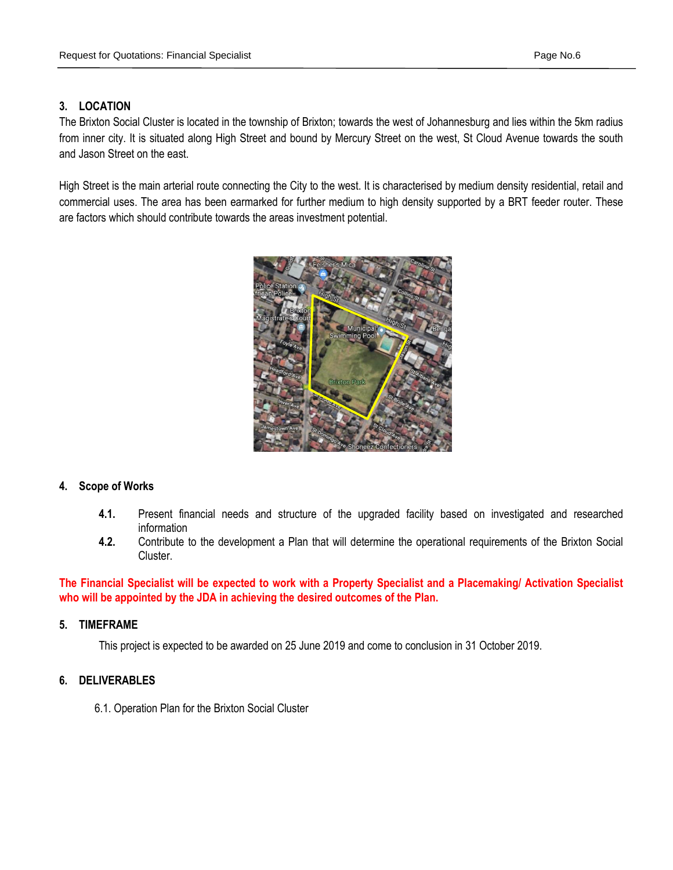## **3. LOCATION**

The Brixton Social Cluster is located in the township of Brixton; towards the west of Johannesburg and lies within the 5km radius from inner city. It is situated along High Street and bound by Mercury Street on the west, St Cloud Avenue towards the south and Jason Street on the east.

High Street is the main arterial route connecting the City to the west. It is characterised by medium density residential, retail and commercial uses. The area has been earmarked for further medium to high density supported by a BRT feeder router. These are factors which should contribute towards the areas investment potential.



#### **4. Scope of Works**

- **4.1.** Present financial needs and structure of the upgraded facility based on investigated and researched information
- **4.2.** Contribute to the development a Plan that will determine the operational requirements of the Brixton Social Cluster.

**The Financial Specialist will be expected to work with a Property Specialist and a Placemaking/ Activation Specialist who will be appointed by the JDA in achieving the desired outcomes of the Plan.**

#### **5. TIMEFRAME**

This project is expected to be awarded on 25 June 2019 and come to conclusion in 31 October 2019.

### **6. DELIVERABLES**

6.1. Operation Plan for the Brixton Social Cluster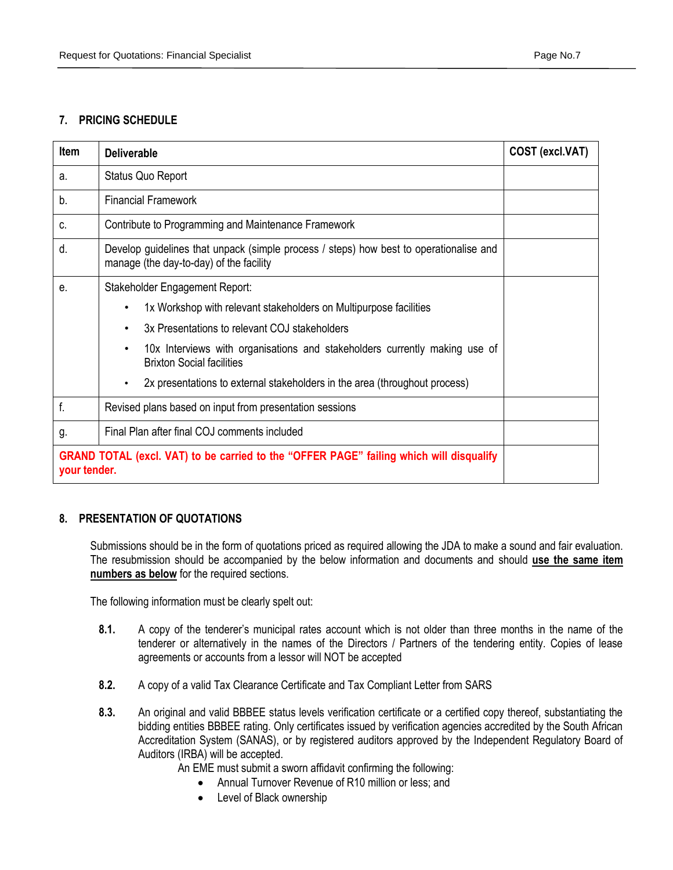## **7. PRICING SCHEDULE**

| <b>Item</b>  | <b>Deliverable</b>                                                                                                                | COST (excl.VAT) |  |
|--------------|-----------------------------------------------------------------------------------------------------------------------------------|-----------------|--|
| a.           | Status Quo Report                                                                                                                 |                 |  |
| b.           | <b>Financial Framework</b>                                                                                                        |                 |  |
| C.           | Contribute to Programming and Maintenance Framework                                                                               |                 |  |
| d.           | Develop guidelines that unpack (simple process / steps) how best to operationalise and<br>manage (the day-to-day) of the facility |                 |  |
| е.           | Stakeholder Engagement Report:                                                                                                    |                 |  |
|              | 1x Workshop with relevant stakeholders on Multipurpose facilities<br>$\bullet$                                                    |                 |  |
|              | 3x Presentations to relevant COJ stakeholders                                                                                     |                 |  |
|              | 10x Interviews with organisations and stakeholders currently making use of<br><b>Brixton Social facilities</b>                    |                 |  |
|              | 2x presentations to external stakeholders in the area (throughout process)                                                        |                 |  |
| f.           | Revised plans based on input from presentation sessions                                                                           |                 |  |
| g.           | Final Plan after final COJ comments included                                                                                      |                 |  |
| your tender. | GRAND TOTAL (excl. VAT) to be carried to the "OFFER PAGE" failing which will disqualify                                           |                 |  |

## **8. PRESENTATION OF QUOTATIONS**

Submissions should be in the form of quotations priced as required allowing the JDA to make a sound and fair evaluation. The resubmission should be accompanied by the below information and documents and should **use the same item numbers as below** for the required sections.

The following information must be clearly spelt out:

- **8.1.** A copy of the tenderer's municipal rates account which is not older than three months in the name of the tenderer or alternatively in the names of the Directors / Partners of the tendering entity. Copies of lease agreements or accounts from a lessor will NOT be accepted
- **8.2.** A copy of a valid Tax Clearance Certificate and Tax Compliant Letter from SARS
- **8.3.** An original and valid BBBEE status levels verification certificate or a certified copy thereof, substantiating the bidding entities BBBEE rating. Only certificates issued by verification agencies accredited by the South African Accreditation System (SANAS), or by registered auditors approved by the Independent Regulatory Board of Auditors (IRBA) will be accepted.

An EME must submit a sworn affidavit confirming the following:

- Annual Turnover Revenue of R10 million or less; and
- Level of Black ownership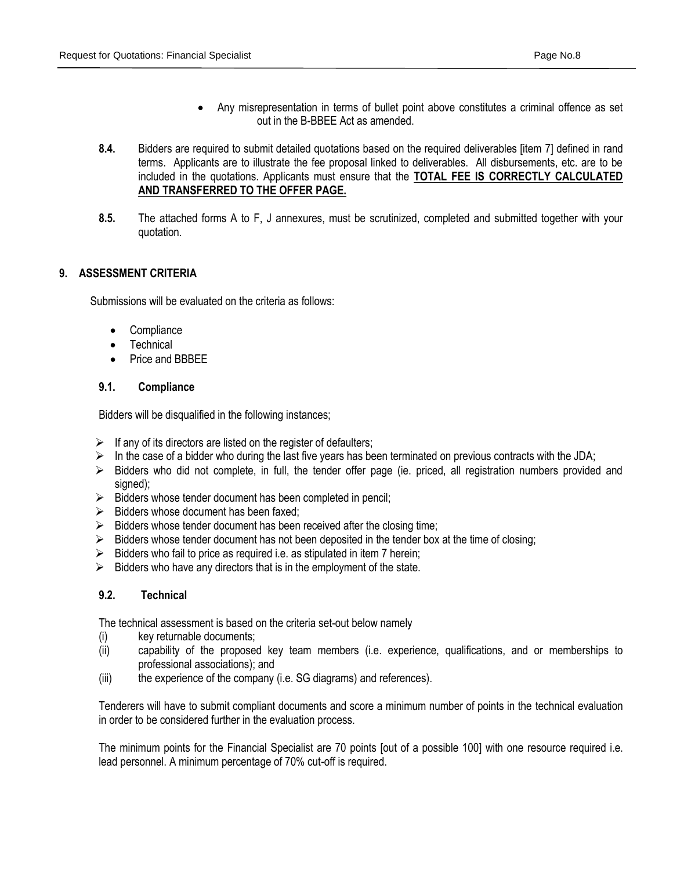- Any misrepresentation in terms of bullet point above constitutes a criminal offence as set out in the B-BBEE Act as amended.
- **8.4.** Bidders are required to submit detailed quotations based on the required deliverables [item 7] defined in rand terms. Applicants are to illustrate the fee proposal linked to deliverables. All disbursements, etc. are to be included in the quotations. Applicants must ensure that the **TOTAL FEE IS CORRECTLY CALCULATED AND TRANSFERRED TO THE OFFER PAGE.**
- **8.5.** The attached forms A to F, J annexures, must be scrutinized, completed and submitted together with your quotation.

#### **9. ASSESSMENT CRITERIA**

Submissions will be evaluated on the criteria as follows:

- **Compliance**
- Technical
- Price and BBBEE

#### **9.1. Compliance**

Bidders will be disqualified in the following instances;

- $\triangleright$  If any of its directors are listed on the register of defaulters;
- In the case of a bidder who during the last five years has been terminated on previous contracts with the JDA;
- $\triangleright$  Bidders who did not complete, in full, the tender offer page (ie. priced, all registration numbers provided and signed);
- $\triangleright$  Bidders whose tender document has been completed in pencil;
- $\triangleright$  Bidders whose document has been faxed:
- $\triangleright$  Bidders whose tender document has been received after the closing time;
- $\triangleright$  Bidders whose tender document has not been deposited in the tender box at the time of closing;
- $\triangleright$  Bidders who fail to price as required i.e. as stipulated in item 7 herein;
- $\triangleright$  Bidders who have any directors that is in the employment of the state.

#### **9.2. Technical**

The technical assessment is based on the criteria set-out below namely

- (i) key returnable documents;
- (ii) capability of the proposed key team members (i.e. experience, qualifications, and or memberships to professional associations); and
- (iii) the experience of the company (i.e. SG diagrams) and references).

Tenderers will have to submit compliant documents and score a minimum number of points in the technical evaluation in order to be considered further in the evaluation process.

The minimum points for the Financial Specialist are 70 points [out of a possible 100] with one resource required i.e. lead personnel. A minimum percentage of 70% cut-off is required.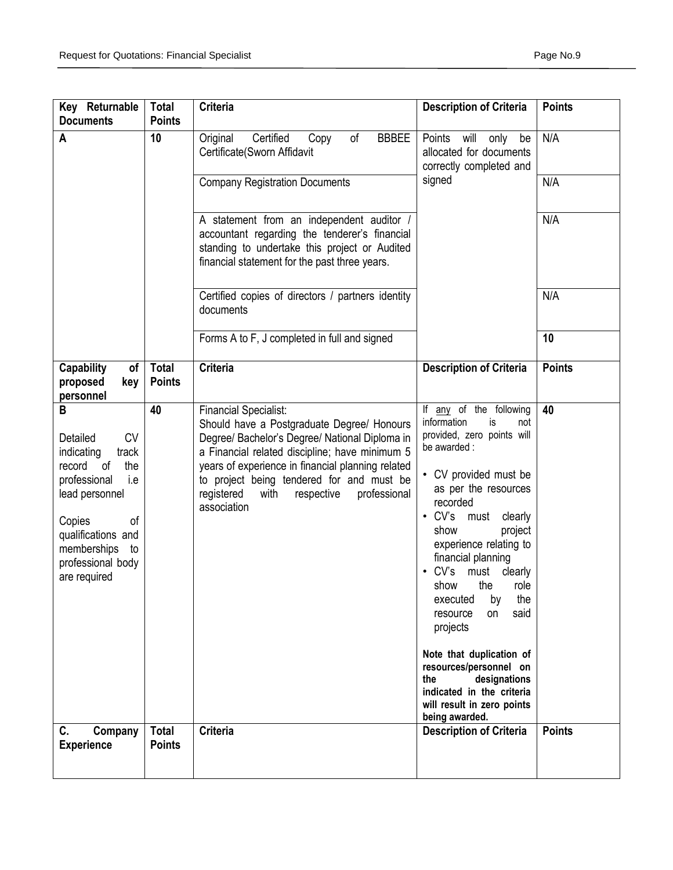| Key Returnable<br><b>Documents</b>                                                                                                                                                                                           | <b>Total</b><br><b>Points</b> | <b>Criteria</b>                                                                                                                                                                                                                                                                                                                                     | <b>Description of Criteria</b>                                                                                                                                                                                                                                                                                                                                                                                                                                                                                                                  | <b>Points</b> |
|------------------------------------------------------------------------------------------------------------------------------------------------------------------------------------------------------------------------------|-------------------------------|-----------------------------------------------------------------------------------------------------------------------------------------------------------------------------------------------------------------------------------------------------------------------------------------------------------------------------------------------------|-------------------------------------------------------------------------------------------------------------------------------------------------------------------------------------------------------------------------------------------------------------------------------------------------------------------------------------------------------------------------------------------------------------------------------------------------------------------------------------------------------------------------------------------------|---------------|
| A                                                                                                                                                                                                                            | 10                            | Certified<br><b>BBBEE</b><br>Original<br>of<br>Copy<br>Certificate(Sworn Affidavit                                                                                                                                                                                                                                                                  | Points<br>will<br>only<br>be<br>allocated for documents<br>correctly completed and                                                                                                                                                                                                                                                                                                                                                                                                                                                              | N/A           |
|                                                                                                                                                                                                                              |                               | <b>Company Registration Documents</b>                                                                                                                                                                                                                                                                                                               | signed                                                                                                                                                                                                                                                                                                                                                                                                                                                                                                                                          | N/A           |
|                                                                                                                                                                                                                              |                               | A statement from an independent auditor /<br>accountant regarding the tenderer's financial<br>standing to undertake this project or Audited<br>financial statement for the past three years.                                                                                                                                                        |                                                                                                                                                                                                                                                                                                                                                                                                                                                                                                                                                 | N/A           |
|                                                                                                                                                                                                                              |                               | Certified copies of directors / partners identity<br>documents                                                                                                                                                                                                                                                                                      |                                                                                                                                                                                                                                                                                                                                                                                                                                                                                                                                                 | N/A           |
|                                                                                                                                                                                                                              |                               | Forms A to F, J completed in full and signed                                                                                                                                                                                                                                                                                                        |                                                                                                                                                                                                                                                                                                                                                                                                                                                                                                                                                 | 10            |
| <b>Capability</b><br>of<br>proposed<br>key<br>personnel                                                                                                                                                                      | <b>Total</b><br><b>Points</b> | <b>Criteria</b>                                                                                                                                                                                                                                                                                                                                     | <b>Description of Criteria</b>                                                                                                                                                                                                                                                                                                                                                                                                                                                                                                                  | <b>Points</b> |
| В<br><b>CV</b><br>Detailed<br>indicating<br>track<br><sub>of</sub><br>the<br>record<br>professional<br>i.e<br>lead personnel<br>Copies<br>οf<br>qualifications and<br>memberships<br>to<br>professional body<br>are required | 40                            | <b>Financial Specialist:</b><br>Should have a Postgraduate Degree/ Honours<br>Degree/ Bachelor's Degree/ National Diploma in<br>a Financial related discipline; have minimum 5<br>years of experience in financial planning related<br>to project being tendered for and must be<br>registered<br>respective<br>professional<br>with<br>association | If any of the following<br>information<br>is<br>not<br>provided, zero points will<br>be awarded :<br>• CV provided must be<br>as per the resources<br>recorded<br>$\cdot$ CV's<br>must<br>clearly<br>show<br>project<br>experience relating to<br>financial planning<br>CV's<br>must<br>clearly<br>show<br>the<br>role<br>the<br>executed<br>by<br>said<br>on<br>resource<br>projects<br>Note that duplication of<br>resources/personnel on<br>designations<br>the<br>indicated in the criteria<br>will result in zero points<br>being awarded. | 40            |
| C.<br>Company<br><b>Experience</b>                                                                                                                                                                                           | <b>Total</b><br><b>Points</b> | <b>Criteria</b>                                                                                                                                                                                                                                                                                                                                     | <b>Description of Criteria</b>                                                                                                                                                                                                                                                                                                                                                                                                                                                                                                                  | <b>Points</b> |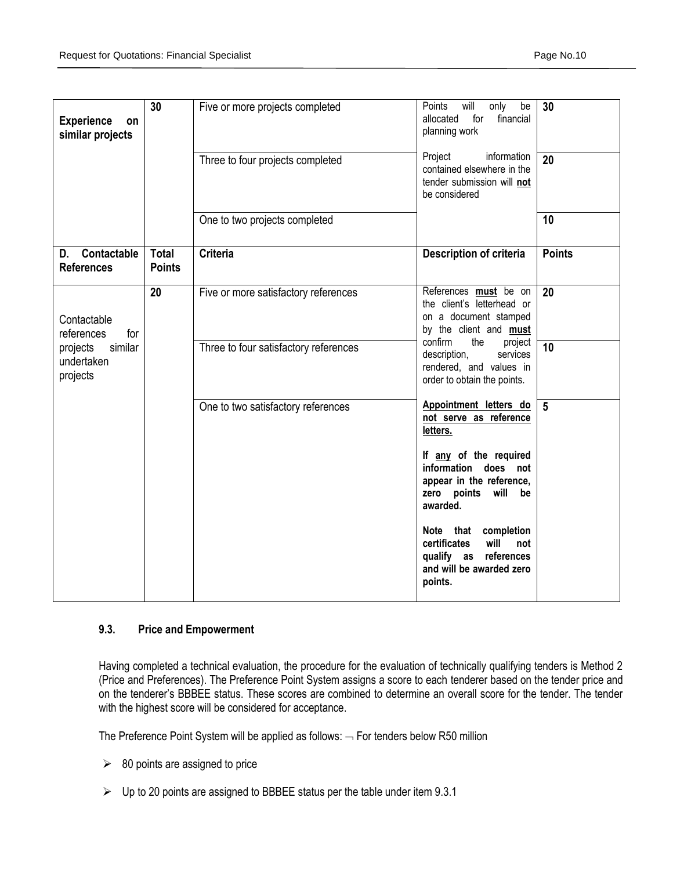| <b>Experience</b><br>on<br>similar projects   | 30                            | Five or more projects completed       | Points<br>will<br>only<br>be<br>30<br>allocated<br>for<br>financial<br>planning work                                   |                 |
|-----------------------------------------------|-------------------------------|---------------------------------------|------------------------------------------------------------------------------------------------------------------------|-----------------|
|                                               |                               | Three to four projects completed      | Project<br>information<br>contained elsewhere in the<br>tender submission will not<br>be considered                    | 20              |
|                                               |                               | One to two projects completed         |                                                                                                                        | 10              |
| D. Contactable<br><b>References</b>           | <b>Total</b><br><b>Points</b> | <b>Criteria</b>                       | Description of criteria                                                                                                | <b>Points</b>   |
| Contactable<br>references<br>for              | 20                            | Five or more satisfactory references  | References must be on<br>the client's letterhead or<br>on a document stamped<br>by the client and <b>must</b>          | $\overline{20}$ |
| similar<br>projects<br>undertaken<br>projects |                               | Three to four satisfactory references | confirm<br>the<br>project<br>10<br>description,<br>services<br>rendered, and values in<br>order to obtain the points.  |                 |
|                                               |                               | One to two satisfactory references    | Appointment letters do<br>not serve as reference<br>letters.                                                           | $5\phantom{.0}$ |
|                                               |                               |                                       | If any of the required<br>information does not<br>appear in the reference,<br>zero points<br>will<br>be<br>awarded.    |                 |
|                                               |                               |                                       | Note that completion<br>will<br>certificates<br>not<br>references<br>qualify as<br>and will be awarded zero<br>points. |                 |

#### **9.3. Price and Empowerment**

Having completed a technical evaluation, the procedure for the evaluation of technically qualifying tenders is Method 2 (Price and Preferences). The Preference Point System assigns a score to each tenderer based on the tender price and on the tenderer's BBBEE status. These scores are combined to determine an overall score for the tender. The tender with the highest score will be considered for acceptance.

The Preference Point System will be applied as follows:  $-$  For tenders below R50 million

- $\geq$  80 points are assigned to price
- $\triangleright$  Up to 20 points are assigned to BBBEE status per the table under item 9.3.1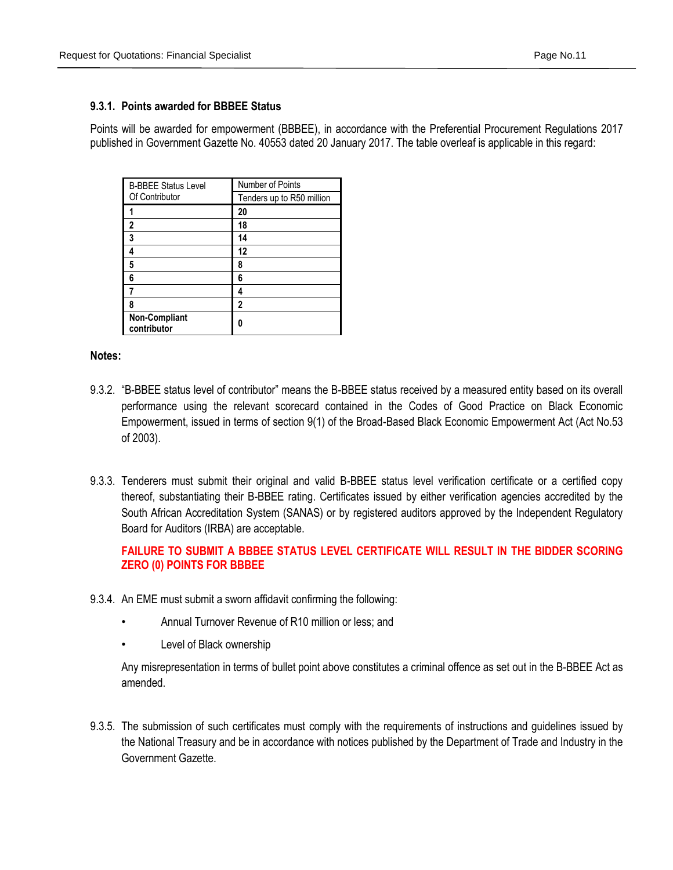#### **9.3.1. Points awarded for BBBEE Status**

Points will be awarded for empowerment (BBBEE), in accordance with the Preferential Procurement Regulations 2017 published in Government Gazette No. 40553 dated 20 January 2017. The table overleaf is applicable in this regard:

| <b>B-BBEE Status Level</b><br>Of Contributor | Number of Points<br>Tenders up to R50 million |
|----------------------------------------------|-----------------------------------------------|
|                                              | 20                                            |
| 2                                            | 18                                            |
| 3                                            | 14                                            |
|                                              | 12                                            |
| 5                                            | 8                                             |
| 6                                            | 6                                             |
|                                              | 4                                             |
| 8                                            | 2                                             |
| Non-Compliant<br>contributor                 |                                               |

#### **Notes:**

- 9.3.2. "B-BBEE status level of contributor" means the B-BBEE status received by a measured entity based on its overall performance using the relevant scorecard contained in the Codes of Good Practice on Black Economic Empowerment, issued in terms of section 9(1) of the Broad-Based Black Economic Empowerment Act (Act No.53 of 2003).
- 9.3.3. Tenderers must submit their original and valid B-BBEE status level verification certificate or a certified copy thereof, substantiating their B-BBEE rating. Certificates issued by either verification agencies accredited by the South African Accreditation System (SANAS) or by registered auditors approved by the Independent Regulatory Board for Auditors (IRBA) are acceptable.

## **FAILURE TO SUBMIT A BBBEE STATUS LEVEL CERTIFICATE WILL RESULT IN THE BIDDER SCORING ZERO (0) POINTS FOR BBBEE**

- 9.3.4. An EME must submit a sworn affidavit confirming the following:
	- Annual Turnover Revenue of R10 million or less; and
	- Level of Black ownership

Any misrepresentation in terms of bullet point above constitutes a criminal offence as set out in the B-BBEE Act as amended.

9.3.5. The submission of such certificates must comply with the requirements of instructions and guidelines issued by the National Treasury and be in accordance with notices published by the Department of Trade and Industry in the Government Gazette.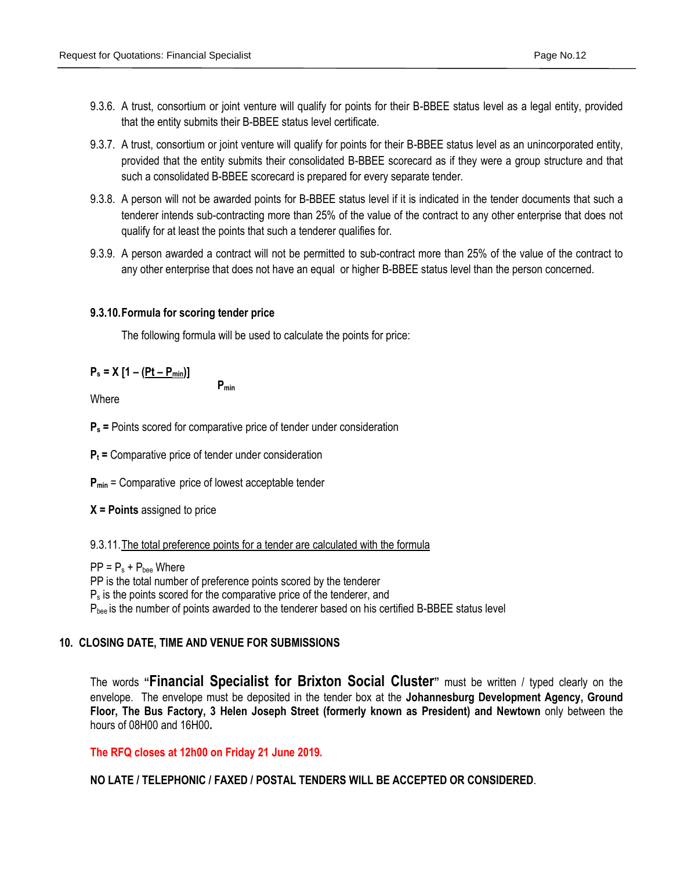- 9.3.6. A trust, consortium or joint venture will qualify for points for their B-BBEE status level as a legal entity, provided that the entity submits their B-BBEE status level certificate.
- 9.3.7. A trust, consortium or joint venture will qualify for points for their B-BBEE status level as an unincorporated entity, provided that the entity submits their consolidated B-BBEE scorecard as if they were a group structure and that such a consolidated B-BBEE scorecard is prepared for every separate tender.
- 9.3.8. A person will not be awarded points for B-BBEE status level if it is indicated in the tender documents that such a tenderer intends sub-contracting more than 25% of the value of the contract to any other enterprise that does not qualify for at least the points that such a tenderer qualifies for.
- 9.3.9. A person awarded a contract will not be permitted to sub-contract more than 25% of the value of the contract to any other enterprise that does not have an equal or higher B-BBEE status level than the person concerned.

#### **9.3.10.Formula for scoring tender price**

The following formula will be used to calculate the points for price:

## $P_s = X [1 - (Pt - P_{min})]$

**Where** 

**P<sup>s</sup> =** Points scored for comparative price of tender under consideration

**Pmin**

**P<sup>t</sup> =** Comparative price of tender under consideration

**Pmin** = Comparative price of lowest acceptable tender

**X = Points** assigned to price

9.3.11.The total preference points for a tender are calculated with the formula

 $PP = P_s + P_{bee}$  Where PP is the total number of preference points scored by the tenderer  $P<sub>s</sub>$  is the points scored for the comparative price of the tenderer, and P<sub>bee</sub> is the number of points awarded to the tenderer based on his certified B-BBEE status level

## **10. CLOSING DATE, TIME AND VENUE FOR SUBMISSIONS**

The words **"Financial Specialist for Brixton Social Cluster"** must be written / typed clearly on the envelope. The envelope must be deposited in the tender box at the **Johannesburg Development Agency, Ground Floor, The Bus Factory, 3 Helen Joseph Street (formerly known as President) and Newtown** only between the hours of 08H00 and 16H00**.**

**The RFQ closes at 12h00 on Friday 21 June 2019.**

**NO LATE / TELEPHONIC / FAXED / POSTAL TENDERS WILL BE ACCEPTED OR CONSIDERED**.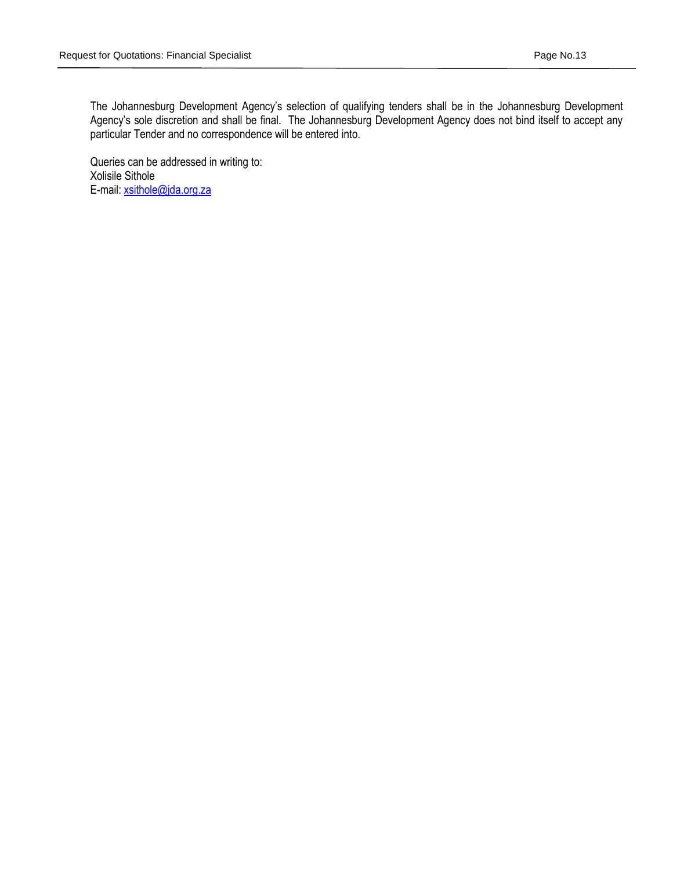The Johannesburg Development Agency's selection of qualifying tenders shall be in the Johannesburg Development Agency's sole discretion and shall be final. The Johannesburg Development Agency does not bind itself to accept any particular Tender and no correspondence will be entered into.

Queries can be addressed in writing to: Xolisile Sithole E-mail: [xsithole@jda.org.za](mailto:xsithole@jda.org.za)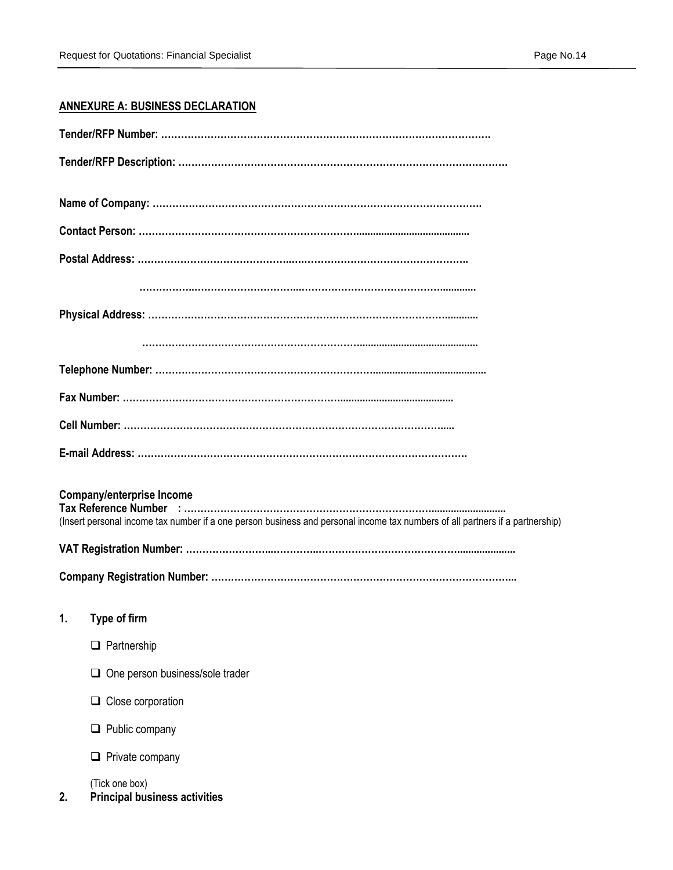## **ANNEXURE A: BUSINESS DECLARATION**

| <b>Company/enterprise Income</b><br>(Insert personal income tax number if a one person business and personal income tax numbers of all partners if a partnership) |
|-------------------------------------------------------------------------------------------------------------------------------------------------------------------|
|                                                                                                                                                                   |
|                                                                                                                                                                   |
| 1.<br>Type of firm                                                                                                                                                |
| Partnership<br>$\Box$                                                                                                                                             |
| One person business/sole trader                                                                                                                                   |
| $\Box$ Close corporation                                                                                                                                          |
| $\Box$ Public company                                                                                                                                             |
| Private company<br>⊔                                                                                                                                              |
| (Tick one box)<br><b>Principal business activities</b><br>2.                                                                                                      |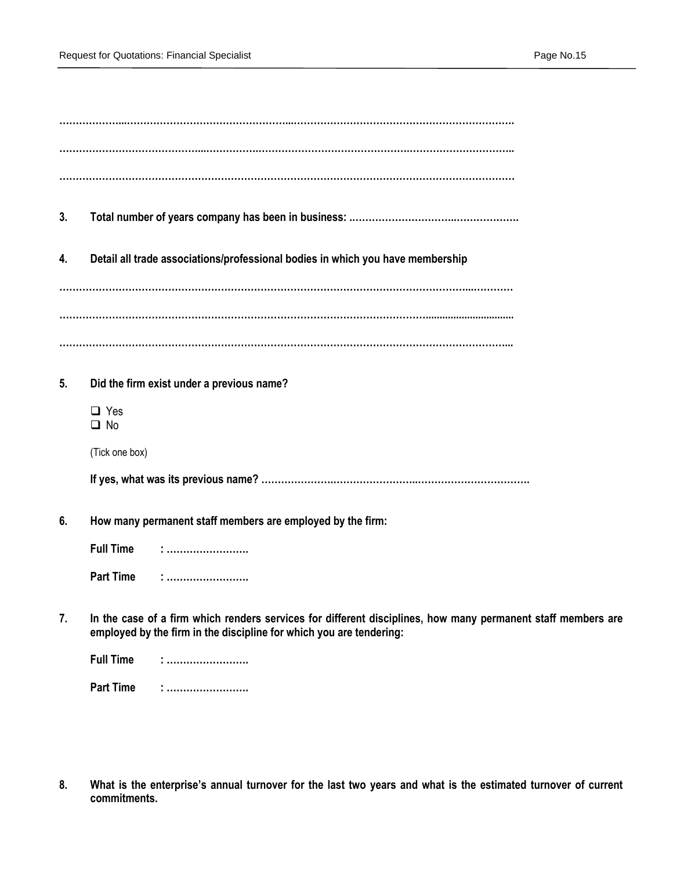| 3. |                                                                                                                                                                                     |
|----|-------------------------------------------------------------------------------------------------------------------------------------------------------------------------------------|
| 4. | Detail all trade associations/professional bodies in which you have membership                                                                                                      |
|    |                                                                                                                                                                                     |
|    |                                                                                                                                                                                     |
|    |                                                                                                                                                                                     |
| 5. | Did the firm exist under a previous name?                                                                                                                                           |
|    | $\Box$ Yes<br>$\Box$ No                                                                                                                                                             |
|    | (Tick one box)                                                                                                                                                                      |
|    |                                                                                                                                                                                     |
| 6. | How many permanent staff members are employed by the firm:                                                                                                                          |
|    | <b>Full Time</b>                                                                                                                                                                    |
|    | <b>Part Time</b><br><u>:</u>                                                                                                                                                        |
| 7. | In the case of a firm which renders services for different disciplines, how many permanent staff members are<br>employed by the firm in the discipline for which you are tendering: |
|    | <b>Full Time</b>                                                                                                                                                                    |
|    | <b>Part Time</b><br>:                                                                                                                                                               |

**8. What is the enterprise's annual turnover for the last two years and what is the estimated turnover of current commitments.**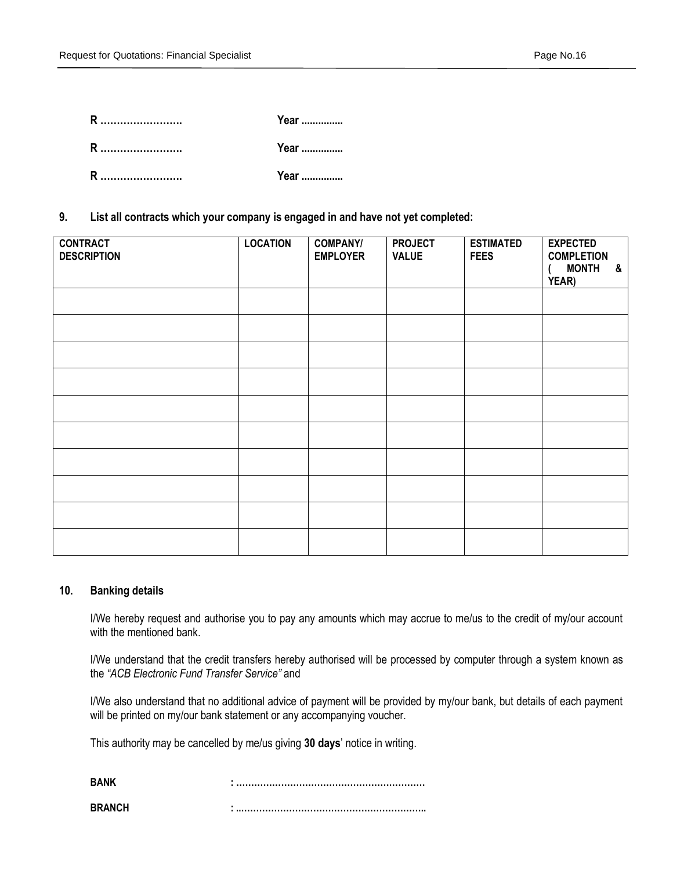|   | Year |
|---|------|
|   | Year |
| R | Year |

**9. List all contracts which your company is engaged in and have not yet completed:**

| <b>CONTRACT</b><br><b>DESCRIPTION</b> | <b>LOCATION</b> | <b>COMPANY/</b><br><b>EMPLOYER</b> | <b>PROJECT</b><br><b>VALUE</b> | <b>ESTIMATED</b><br><b>FEES</b> | <b>EXPECTED</b><br><b>COMPLETION</b><br><b>MONTH</b><br>&<br>YEAR) |
|---------------------------------------|-----------------|------------------------------------|--------------------------------|---------------------------------|--------------------------------------------------------------------|
|                                       |                 |                                    |                                |                                 |                                                                    |
|                                       |                 |                                    |                                |                                 |                                                                    |
|                                       |                 |                                    |                                |                                 |                                                                    |
|                                       |                 |                                    |                                |                                 |                                                                    |
|                                       |                 |                                    |                                |                                 |                                                                    |
|                                       |                 |                                    |                                |                                 |                                                                    |
|                                       |                 |                                    |                                |                                 |                                                                    |
|                                       |                 |                                    |                                |                                 |                                                                    |
|                                       |                 |                                    |                                |                                 |                                                                    |
|                                       |                 |                                    |                                |                                 |                                                                    |

#### **10. Banking details**

I/We hereby request and authorise you to pay any amounts which may accrue to me/us to the credit of my/our account with the mentioned bank.

I/We understand that the credit transfers hereby authorised will be processed by computer through a system known as the *"ACB Electronic Fund Transfer Service"* and

I/We also understand that no additional advice of payment will be provided by my/our bank, but details of each payment will be printed on my/our bank statement or any accompanying voucher.

This authority may be cancelled by me/us giving **30 days**' notice in writing.

| RANK          |  |
|---------------|--|
| <b>RRANCH</b> |  |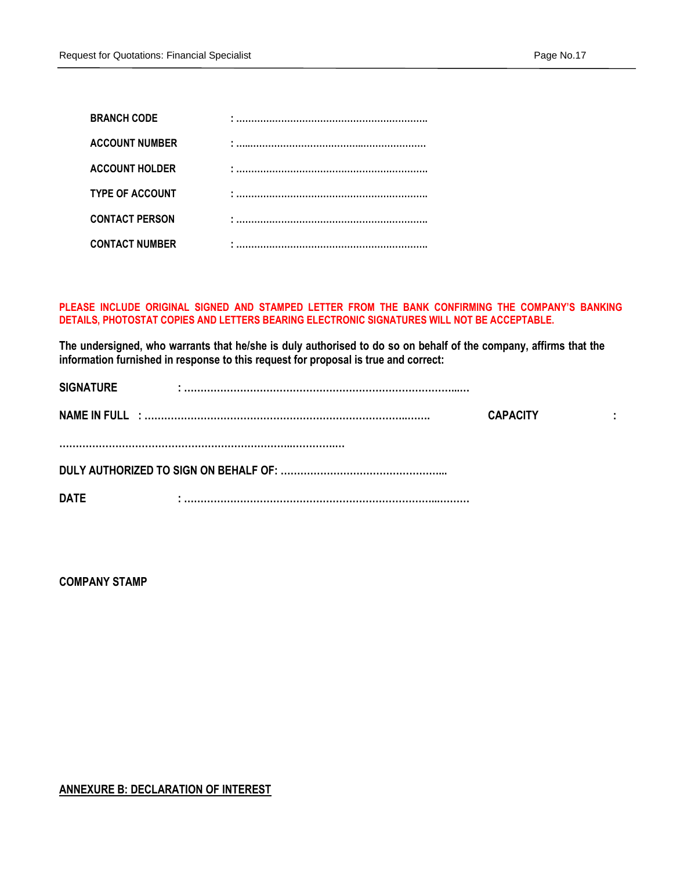| <b>BRANCH CODE</b>     |  |
|------------------------|--|
| <b>ACCOUNT NUMBER</b>  |  |
| <b>ACCOUNT HOLDER</b>  |  |
| <b>TYPE OF ACCOUNT</b> |  |
| <b>CONTACT PERSON</b>  |  |
| <b>CONTACT NUMBER</b>  |  |

#### **PLEASE INCLUDE ORIGINAL SIGNED AND STAMPED LETTER FROM THE BANK CONFIRMING THE COMPANY'S BANKING DETAILS, PHOTOSTAT COPIES AND LETTERS BEARING ELECTRONIC SIGNATURES WILL NOT BE ACCEPTABLE.**

**The undersigned, who warrants that he/she is duly authorised to do so on behalf of the company, affirms that the information furnished in response to this request for proposal is true and correct:**

| <b>SIGNATURE</b> |                 |     |
|------------------|-----------------|-----|
|                  | <b>CAPACITY</b> | . . |
|                  |                 |     |
| <b>DATE</b>      |                 |     |

**COMPANY STAMP**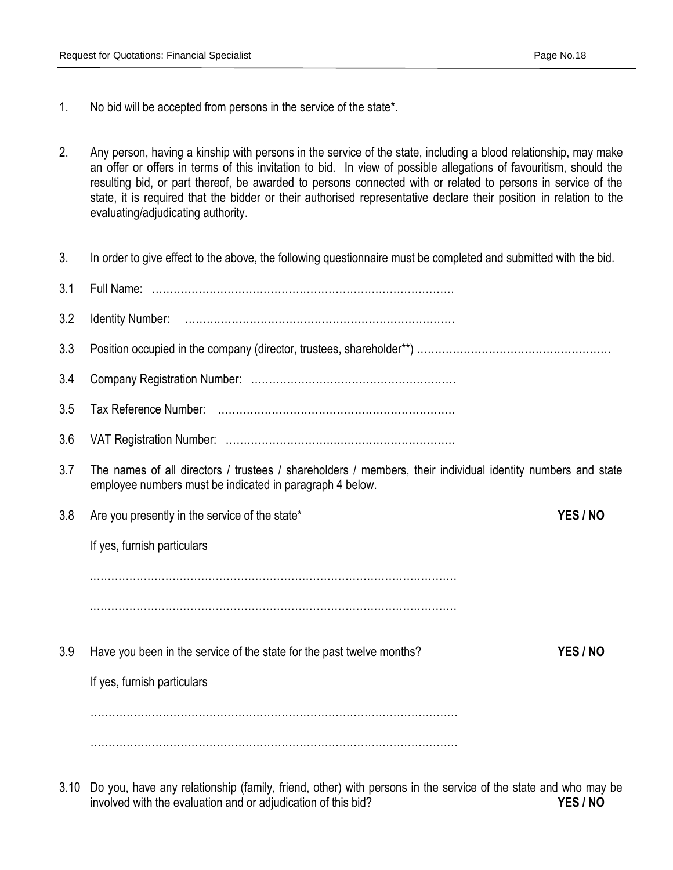- 1. No bid will be accepted from persons in the service of the state\*.
- 2. Any person, having a kinship with persons in the service of the state, including a blood relationship, may make an offer or offers in terms of this invitation to bid. In view of possible allegations of favouritism, should the resulting bid, or part thereof, be awarded to persons connected with or related to persons in service of the state, it is required that the bidder or their authorised representative declare their position in relation to the evaluating/adjudicating authority.
- 3. In order to give effect to the above, the following questionnaire must be completed and submitted with the bid.
- 3.1 Full Name: ………………………………………………………………………… 3.2 Identity Number: ………………………………………………………………… 3.3 Position occupied in the company (director, trustees, shareholder\*\*) ……………………………………………… 3.4 Company Registration Number: ………………………………………………… 3.5 Tax Reference Number: ………………………………………………………… 3.6 VAT Registration Number: ………………………….…………………………… 3.7 The names of all directors / trustees / shareholders / members, their individual identity numbers and state employee numbers must be indicated in paragraph 4 below. 3.8 Are you presently in the service of the state\* **YES / NO**  If yes, furnish particulars . The same state of the state of the state of the state of the state of the state of the state of the state of the state of the state of the state of the state of the state of the state of the state of the state of the st ………………………………………………………………………………………… 3.9 Have you been in the service of the state for the past twelve months? **YES / NO** If yes, furnish particulars ………………………………………………………………………………………… …………………………………………………………………………………………
- 3.10 Do you, have any relationship (family, friend, other) with persons in the service of the state and who may be involved with the evaluation and or adjudication of this bid? **YES / NO**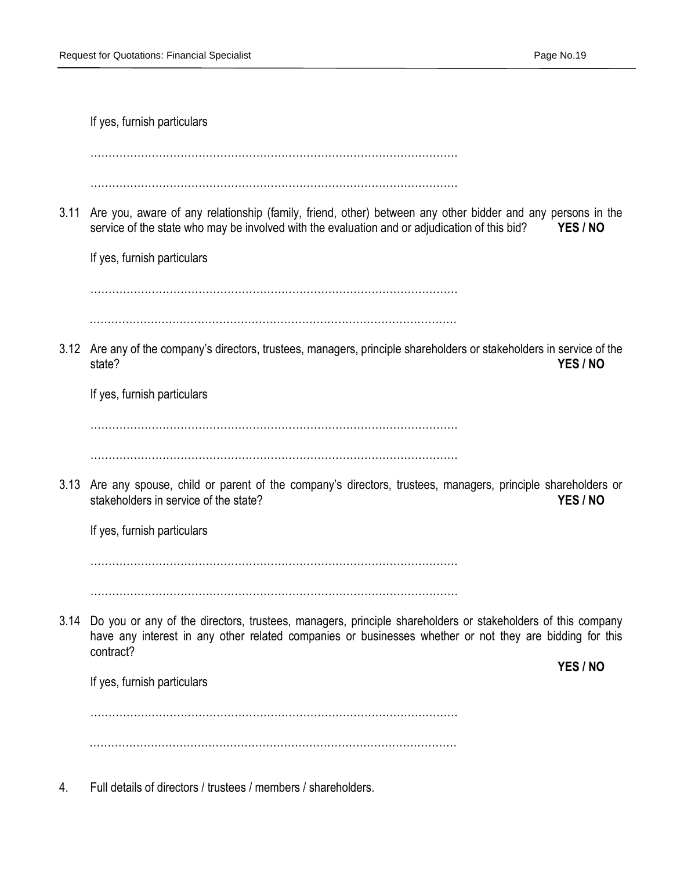|      | If yes, furnish particulars                                                                                                                                                                                                                                                   |
|------|-------------------------------------------------------------------------------------------------------------------------------------------------------------------------------------------------------------------------------------------------------------------------------|
| 3.11 | Are you, aware of any relationship (family, friend, other) between any other bidder and any persons in the<br>service of the state who may be involved with the evaluation and or adjudication of this bid?<br>YES / NO<br>If yes, furnish particulars                        |
|      | 3.12 Are any of the company's directors, trustees, managers, principle shareholders or stakeholders in service of the<br>state?<br>YES / NO<br>If yes, furnish particulars                                                                                                    |
|      | 3.13 Are any spouse, child or parent of the company's directors, trustees, managers, principle shareholders or<br>stakeholders in service of the state?<br>YES / NO<br>If yes, furnish particulars                                                                            |
| 3.14 | Do you or any of the directors, trustees, managers, principle shareholders or stakeholders of this company<br>have any interest in any other related companies or businesses whether or not they are bidding for this<br>contract?<br>YES / NO<br>If yes, furnish particulars |
|      | Full details of directors / trustees / members / shareholders.                                                                                                                                                                                                                |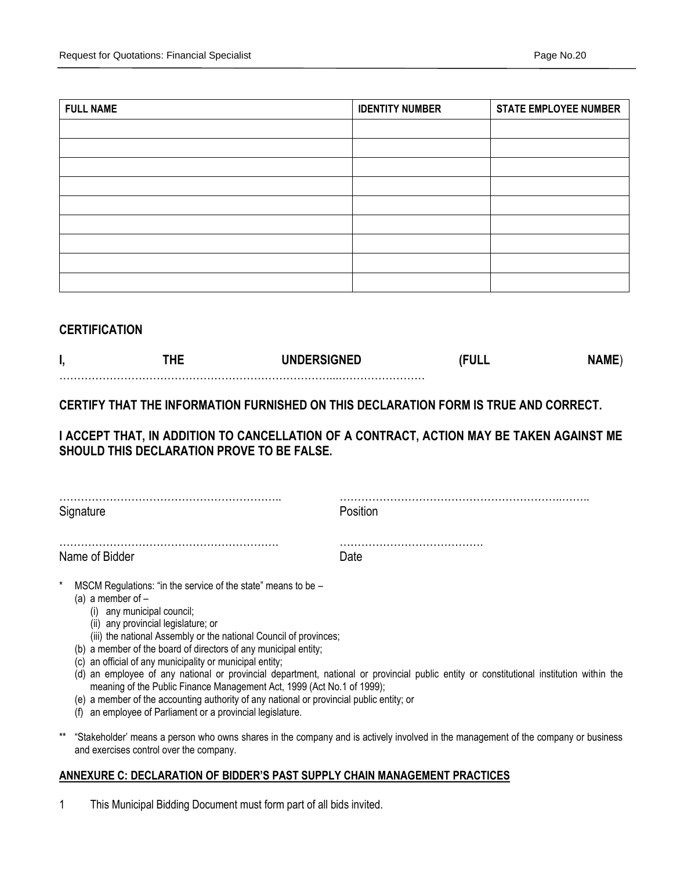| <b>FULL NAME</b> | <b>IDENTITY NUMBER</b> | <b>STATE EMPLOYEE NUMBER</b> |
|------------------|------------------------|------------------------------|
|                  |                        |                              |
|                  |                        |                              |
|                  |                        |                              |
|                  |                        |                              |
|                  |                        |                              |
|                  |                        |                              |
|                  |                        |                              |
|                  |                        |                              |
|                  |                        |                              |

## **CERTIFICATION**

## **CERTIFY THAT THE INFORMATION FURNISHED ON THIS DECLARATION FORM IS TRUE AND CORRECT.**

**I ACCEPT THAT, IN ADDITION TO CANCELLATION OF A CONTRACT, ACTION MAY BE TAKEN AGAINST ME SHOULD THIS DECLARATION PROVE TO BE FALSE.** 

| Signature                                                                                                                                                                                                                                | Position |
|------------------------------------------------------------------------------------------------------------------------------------------------------------------------------------------------------------------------------------------|----------|
| Name of Bidder                                                                                                                                                                                                                           | Date     |
| $\ast$<br>MSCM Regulations: "in the service of the state" means to be -<br>(a) a member of $-$<br>(i) any municipal council;<br>(ii) any provincial legislature; or<br>(iii) the national Assembly or the national Council of provinces; |          |

- (b) a member of the board of directors of any municipal entity;
- (c) an official of any municipality or municipal entity;
- (d) an employee of any national or provincial department, national or provincial public entity or constitutional institution within the meaning of the Public Finance Management Act, 1999 (Act No.1 of 1999);
- (e) a member of the accounting authority of any national or provincial public entity; or
- (f) an employee of Parliament or a provincial legislature.
- \*\* "Stakeholder' means a person who owns shares in the company and is actively involved in the management of the company or business and exercises control over the company.

#### **ANNEXURE C: DECLARATION OF BIDDER'S PAST SUPPLY CHAIN MANAGEMENT PRACTICES**

1 This Municipal Bidding Document must form part of all bids invited.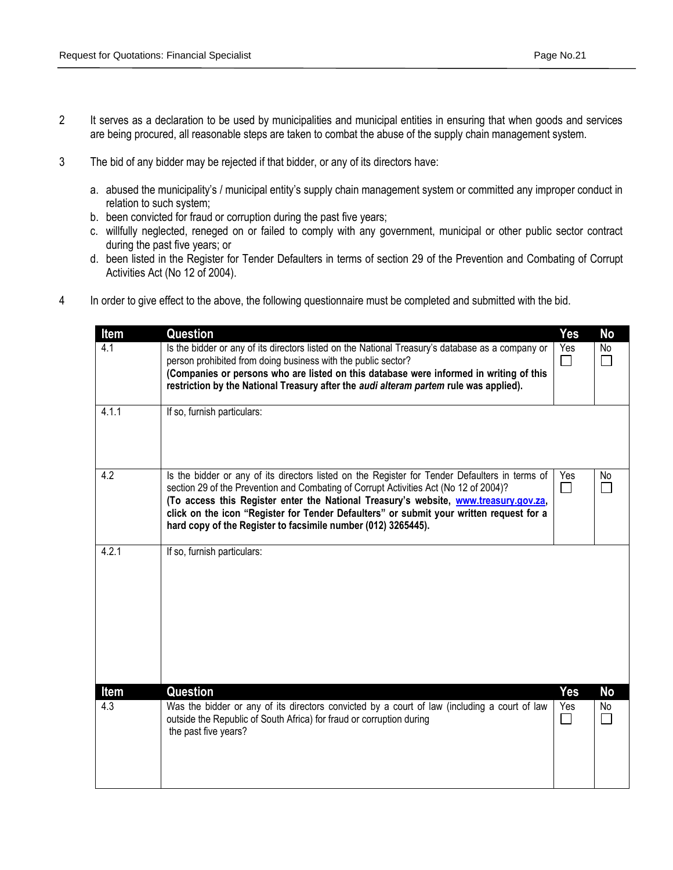- 2 It serves as a declaration to be used by municipalities and municipal entities in ensuring that when goods and services are being procured, all reasonable steps are taken to combat the abuse of the supply chain management system.
- 3 The bid of any bidder may be rejected if that bidder, or any of its directors have:
	- a. abused the municipality's / municipal entity's supply chain management system or committed any improper conduct in relation to such system;
	- b. been convicted for fraud or corruption during the past five years;
	- c. willfully neglected, reneged on or failed to comply with any government, municipal or other public sector contract during the past five years; or
	- d. been listed in the Register for Tender Defaulters in terms of section 29 of the Prevention and Combating of Corrupt Activities Act (No 12 of 2004).
- 4 In order to give effect to the above, the following questionnaire must be completed and submitted with the bid.

| Item        | Question                                                                                                                                                                                                                                                                                                                                                                                                                                    | <b>Yes</b>           | No              |
|-------------|---------------------------------------------------------------------------------------------------------------------------------------------------------------------------------------------------------------------------------------------------------------------------------------------------------------------------------------------------------------------------------------------------------------------------------------------|----------------------|-----------------|
| 4.1         | Is the bidder or any of its directors listed on the National Treasury's database as a company or<br>person prohibited from doing business with the public sector?<br>(Companies or persons who are listed on this database were informed in writing of this<br>restriction by the National Treasury after the audi alteram partem rule was applied).                                                                                        | Yes<br>$\Box$        | No              |
| 4.1.1       | If so, furnish particulars:                                                                                                                                                                                                                                                                                                                                                                                                                 |                      |                 |
| 4.2         | Is the bidder or any of its directors listed on the Register for Tender Defaulters in terms of<br>section 29 of the Prevention and Combating of Corrupt Activities Act (No 12 of 2004)?<br>(To access this Register enter the National Treasury's website, www.treasury.gov.za,<br>click on the icon "Register for Tender Defaulters" or submit your written request for a<br>hard copy of the Register to facsimile number (012) 3265445). | Yes<br>$\Box$        | No.<br>$\Box$   |
| 4.2.1       | If so, furnish particulars:                                                                                                                                                                                                                                                                                                                                                                                                                 |                      |                 |
| Item<br>4.3 | Question<br>Was the bidder or any of its directors convicted by a court of law (including a court of law<br>outside the Republic of South Africa) for fraud or corruption during<br>the past five years?                                                                                                                                                                                                                                    | Yes<br>Yes<br>$\Box$ | <b>No</b><br>No |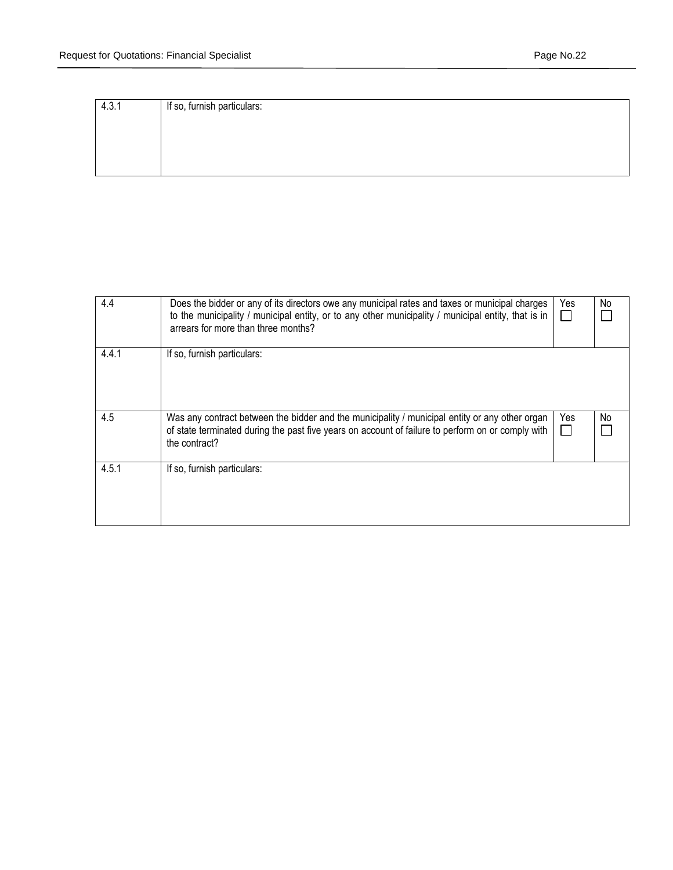| 4.3.1 | If so, furnish particulars: |
|-------|-----------------------------|
|       |                             |
|       |                             |
|       |                             |
|       |                             |
|       |                             |

| 4.4   | Does the bidder or any of its directors owe any municipal rates and taxes or municipal charges<br>to the municipality / municipal entity, or to any other municipality / municipal entity, that is in<br>arrears for more than three months? | Yes<br>$\mathbf{L}$ | No |
|-------|----------------------------------------------------------------------------------------------------------------------------------------------------------------------------------------------------------------------------------------------|---------------------|----|
| 4.4.1 | If so, furnish particulars:                                                                                                                                                                                                                  |                     |    |
| 4.5   | Was any contract between the bidder and the municipality / municipal entity or any other organ<br>of state terminated during the past five years on account of failure to perform on or comply with<br>the contract?                         | Yes<br>$\mathbf{L}$ | No |
| 4.5.1 | If so, furnish particulars:                                                                                                                                                                                                                  |                     |    |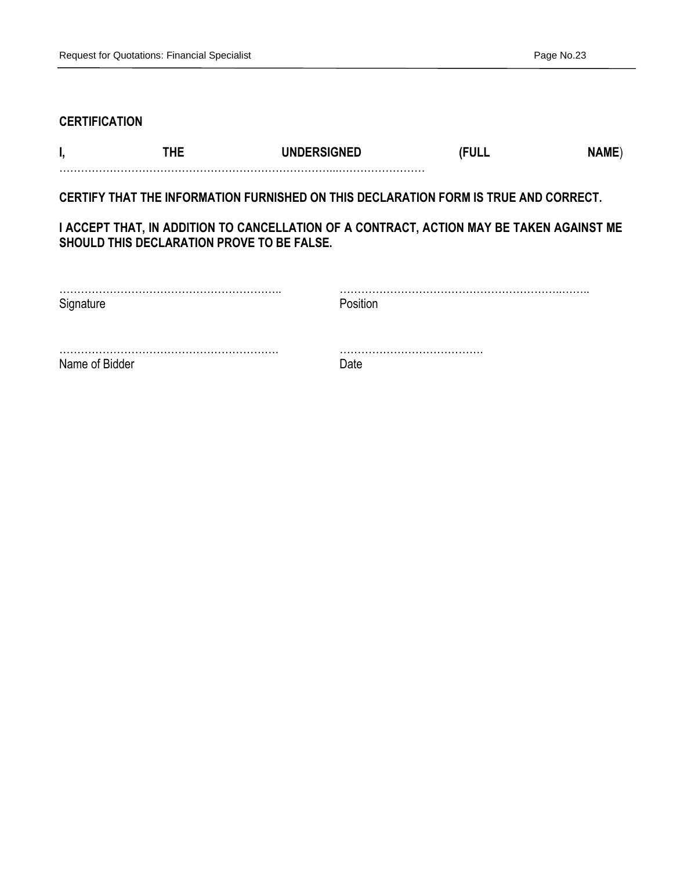## **CERTIFICATION**

| THE.                                       | <b>UNDERSIGNED</b>                                                                       | (FULL | NAME) |
|--------------------------------------------|------------------------------------------------------------------------------------------|-------|-------|
|                                            |                                                                                          |       |       |
|                                            | CERTIFY THAT THE INFORMATION FURNISHED ON THIS DECLARATION FORM IS TRUE AND CORRECT.     |       |       |
|                                            |                                                                                          |       |       |
|                                            | I ACCEPT THAT, IN ADDITION TO CANCELLATION OF A CONTRACT, ACTION MAY BE TAKEN AGAINST ME |       |       |
| SHOULD THIS DECLARATION PROVE TO BE FALSE. |                                                                                          |       |       |

| C <sub>iter</sub> | nsitini |
|-------------------|---------|
|                   |         |
| Name of Bidder    | )ate    |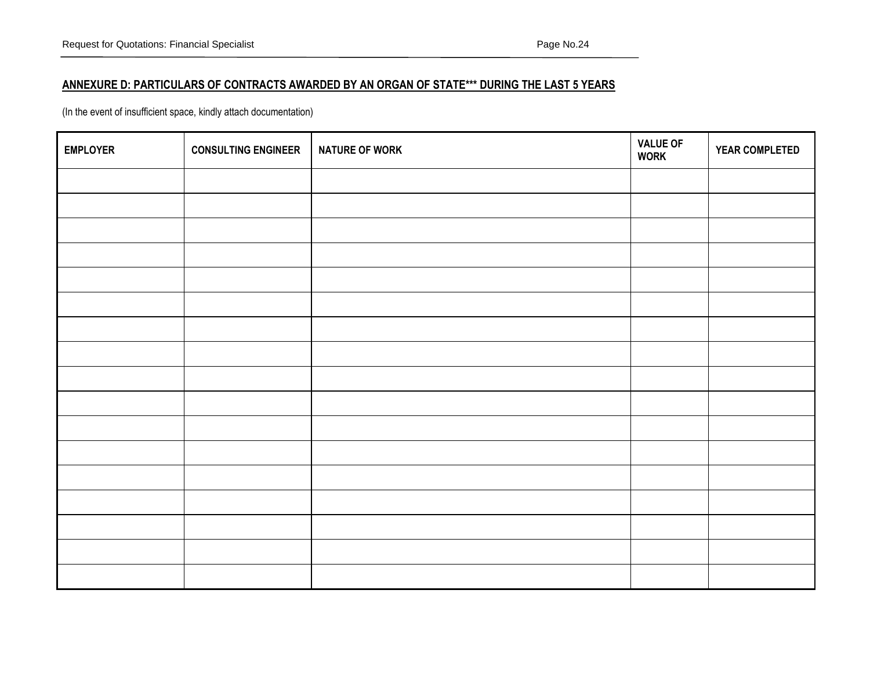## **ANNEXURE D: PARTICULARS OF CONTRACTS AWARDED BY AN ORGAN OF STATE\*\*\* DURING THE LAST 5 YEARS**

(In the event of insufficient space, kindly attach documentation)

| <b>EMPLOYER</b> | <b>CONSULTING ENGINEER</b> | <b>NATURE OF WORK</b> | <b>VALUE OF<br/>WORK</b> | YEAR COMPLETED |
|-----------------|----------------------------|-----------------------|--------------------------|----------------|
|                 |                            |                       |                          |                |
|                 |                            |                       |                          |                |
|                 |                            |                       |                          |                |
|                 |                            |                       |                          |                |
|                 |                            |                       |                          |                |
|                 |                            |                       |                          |                |
|                 |                            |                       |                          |                |
|                 |                            |                       |                          |                |
|                 |                            |                       |                          |                |
|                 |                            |                       |                          |                |
|                 |                            |                       |                          |                |
|                 |                            |                       |                          |                |
|                 |                            |                       |                          |                |
|                 |                            |                       |                          |                |
|                 |                            |                       |                          |                |
|                 |                            |                       |                          |                |
|                 |                            |                       |                          |                |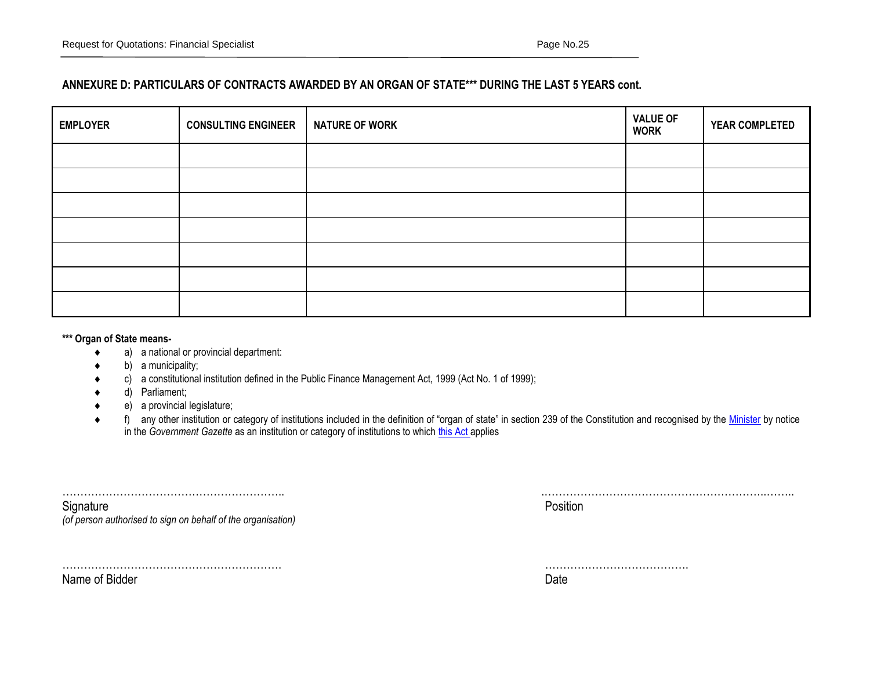## **ANNEXURE D: PARTICULARS OF CONTRACTS AWARDED BY AN ORGAN OF STATE\*\*\* DURING THE LAST 5 YEARS cont.**

| <b>EMPLOYER</b> | <b>CONSULTING ENGINEER</b> | <b>NATURE OF WORK</b> | <b>VALUE OF</b><br><b>WORK</b> | YEAR COMPLETED |
|-----------------|----------------------------|-----------------------|--------------------------------|----------------|
|                 |                            |                       |                                |                |
|                 |                            |                       |                                |                |
|                 |                            |                       |                                |                |
|                 |                            |                       |                                |                |
|                 |                            |                       |                                |                |
|                 |                            |                       |                                |                |
|                 |                            |                       |                                |                |

#### **\*\*\* Organ of State means-**

- a) a national or provincial department:
- $\bullet$  b) a municipality;
- c) a constitutional institution defined in the Public Finance Management Act, 1999 (Act No. 1 of 1999);
- d) Parliament;
- e) a provincial legislature;
- ◆ f) any other institution or category of institutions included in the definition of "organ of state" in section 239 of the Constitution and recognised by the [Minister](javascript:void(0);) by notice in the *Government Gazette* as an institution or category of institutions to which [this Act](javascript:void(0);) applies

|                                                              | .        |
|--------------------------------------------------------------|----------|
| Signature                                                    | Position |
| (of person authorised to sign on behalf of the organisation) |          |

……………………………………………………. ………………………………….

Name of Bidder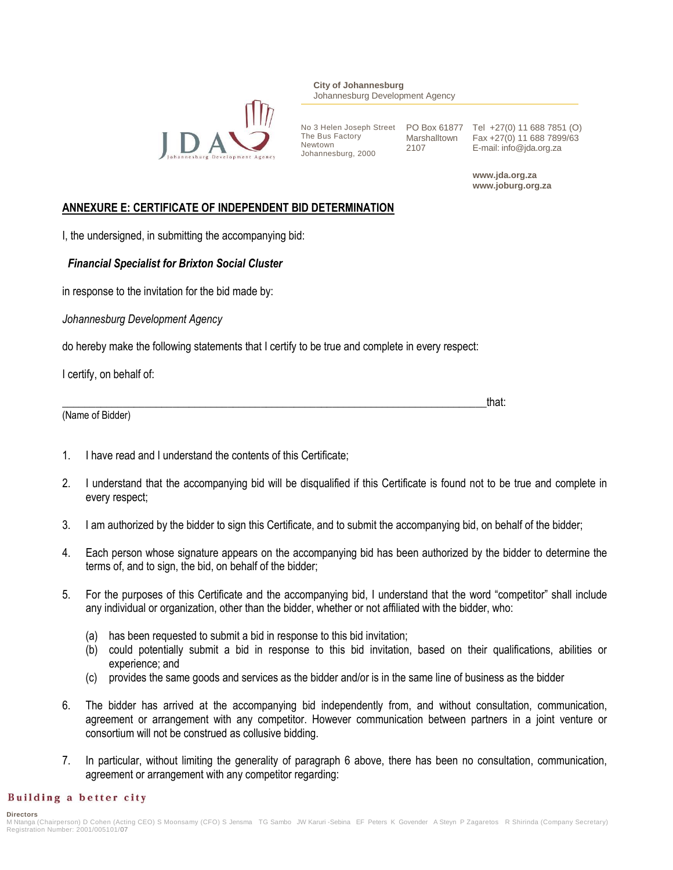

**City of Johannesburg** Johannesburg Development Agency

The Bus Factory Newtown Johannesburg, 2000

2107

No 3 Helen Joseph Street PO Box 61877 Tel +27(0) 11 688 7851 (O) Marshalltown Fax +27(0) 11 688 7899/63 E-mail: info@jda.org.za

> **www.jda.org.za www.joburg.org.za**

## **ANNEXURE E: CERTIFICATE OF INDEPENDENT BID DETERMINATION**

I, the undersigned, in submitting the accompanying bid:

## *Financial Specialist for Brixton Social Cluster*

in response to the invitation for the bid made by:

*Johannesburg Development Agency*

do hereby make the following statements that I certify to be true and complete in every respect:

I certify, on behalf of:

| (Name of Bidder) |  |
|------------------|--|

- 1. I have read and I understand the contents of this Certificate;
- 2. I understand that the accompanying bid will be disqualified if this Certificate is found not to be true and complete in every respect;
- 3. I am authorized by the bidder to sign this Certificate, and to submit the accompanying bid, on behalf of the bidder;
- 4. Each person whose signature appears on the accompanying bid has been authorized by the bidder to determine the terms of, and to sign, the bid, on behalf of the bidder;
- 5. For the purposes of this Certificate and the accompanying bid, I understand that the word "competitor" shall include any individual or organization, other than the bidder, whether or not affiliated with the bidder, who:
	- (a) has been requested to submit a bid in response to this bid invitation;
	- (b) could potentially submit a bid in response to this bid invitation, based on their qualifications, abilities or experience; and
	- (c) provides the same goods and services as the bidder and/or is in the same line of business as the bidder
- 6. The bidder has arrived at the accompanying bid independently from, and without consultation, communication, agreement or arrangement with any competitor. However communication between partners in a joint venture or consortium will not be construed as collusive bidding.
- 7. In particular, without limiting the generality of paragraph 6 above, there has been no consultation, communication, agreement or arrangement with any competitor regarding:

## Building a better city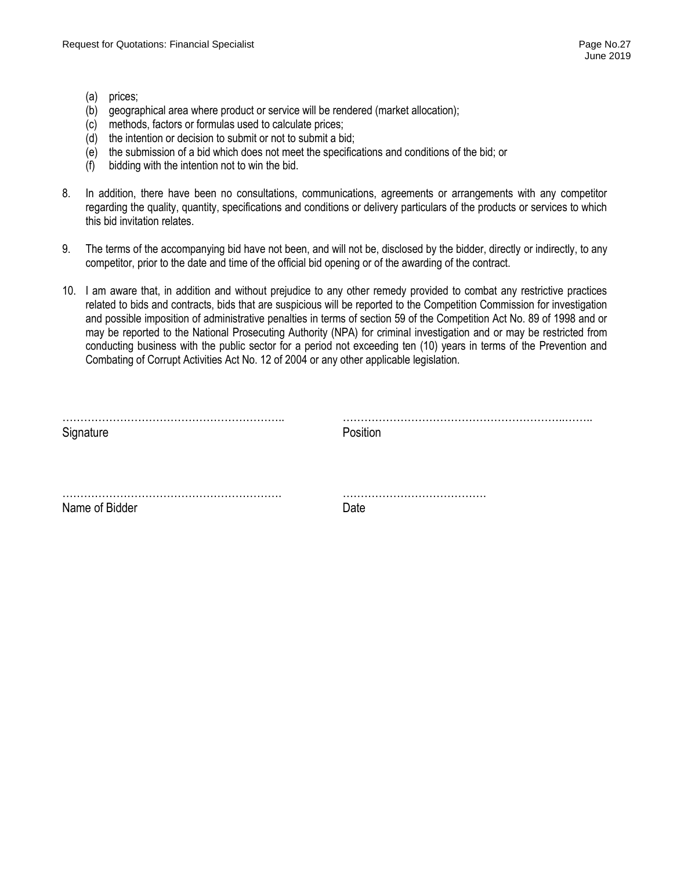- (a) prices;
- (b) geographical area where product or service will be rendered (market allocation);
- (c) methods, factors or formulas used to calculate prices;
- (d) the intention or decision to submit or not to submit a bid;
- (e) the submission of a bid which does not meet the specifications and conditions of the bid; or
- (f) bidding with the intention not to win the bid.
- 8. In addition, there have been no consultations, communications, agreements or arrangements with any competitor regarding the quality, quantity, specifications and conditions or delivery particulars of the products or services to which this bid invitation relates.
- 9. The terms of the accompanying bid have not been, and will not be, disclosed by the bidder, directly or indirectly, to any competitor, prior to the date and time of the official bid opening or of the awarding of the contract.
- 10. I am aware that, in addition and without prejudice to any other remedy provided to combat any restrictive practices related to bids and contracts, bids that are suspicious will be reported to the Competition Commission for investigation and possible imposition of administrative penalties in terms of section 59 of the Competition Act No. 89 of 1998 and or may be reported to the National Prosecuting Authority (NPA) for criminal investigation and or may be restricted from conducting business with the public sector for a period not exceeding ten (10) years in terms of the Prevention and Combating of Corrupt Activities Act No. 12 of 2004 or any other applicable legislation.

| Sinnature      | ooitior |
|----------------|---------|
|                |         |
| Name of Bidder | )ate    |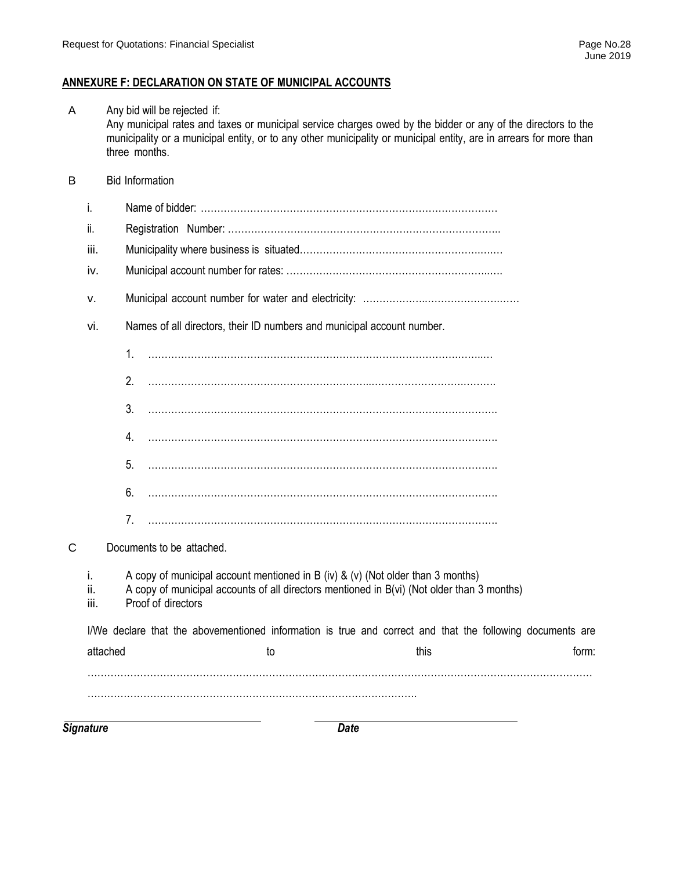## **ANNEXURE F: DECLARATION ON STATE OF MUNICIPAL ACCOUNTS**

| <b>Signature</b>  | <b>Date</b>                                                                                                                                                                                         |                                                                                                                                              |
|-------------------|-----------------------------------------------------------------------------------------------------------------------------------------------------------------------------------------------------|----------------------------------------------------------------------------------------------------------------------------------------------|
|                   |                                                                                                                                                                                                     |                                                                                                                                              |
| attached          | to<br>this                                                                                                                                                                                          | form:                                                                                                                                        |
|                   | I/We declare that the abovementioned information is true and correct and that the following documents are                                                                                           |                                                                                                                                              |
| i.<br>ii.<br>iii. | A copy of municipal account mentioned in B (iv) & (v) (Not older than 3 months)<br>A copy of municipal accounts of all directors mentioned in B(vi) (Not older than 3 months)<br>Proof of directors |                                                                                                                                              |
|                   | Documents to be attached.                                                                                                                                                                           |                                                                                                                                              |
|                   | 7.                                                                                                                                                                                                  |                                                                                                                                              |
|                   | 6.                                                                                                                                                                                                  |                                                                                                                                              |
|                   | 5.                                                                                                                                                                                                  |                                                                                                                                              |
|                   | 4.                                                                                                                                                                                                  |                                                                                                                                              |
|                   | 3.                                                                                                                                                                                                  |                                                                                                                                              |
|                   | 2.                                                                                                                                                                                                  |                                                                                                                                              |
|                   | 1.                                                                                                                                                                                                  |                                                                                                                                              |
| vi.               | Names of all directors, their ID numbers and municipal account number.                                                                                                                              |                                                                                                                                              |
| ν.                |                                                                                                                                                                                                     |                                                                                                                                              |
| iv.               |                                                                                                                                                                                                     |                                                                                                                                              |
| iii.              |                                                                                                                                                                                                     |                                                                                                                                              |
| ii.               |                                                                                                                                                                                                     |                                                                                                                                              |
| i.                |                                                                                                                                                                                                     |                                                                                                                                              |
|                   | <b>Bid Information</b>                                                                                                                                                                              |                                                                                                                                              |
|                   | municipality or a municipal entity, or to any other municipality or municipal entity, are in arrears for more than<br>three months.                                                                 |                                                                                                                                              |
|                   |                                                                                                                                                                                                     | Any bid will be rejected if:<br>Any municipal rates and taxes or municipal service charges owed by the bidder or any of the directors to the |